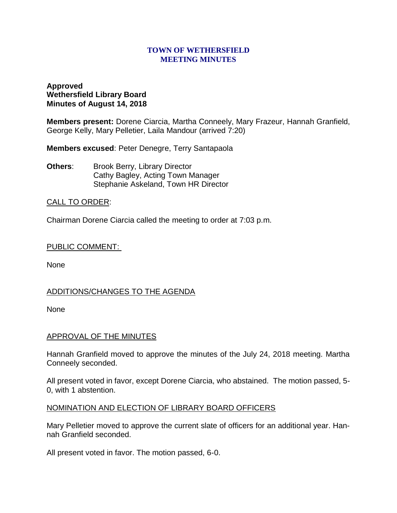#### **TOWN OF WETHERSFIELD MEETING MINUTES**

## **Approved Wethersfield Library Board Minutes of August 14, 2018**

**Members present:** Dorene Ciarcia, Martha Conneely, Mary Frazeur, Hannah Granfield, George Kelly, Mary Pelletier, Laila Mandour (arrived 7:20)

**Members excused**: Peter Denegre, Terry Santapaola

**Others:** Brook Berry, Library Director Cathy Bagley, Acting Town Manager Stephanie Askeland, Town HR Director

# CALL TO ORDER:

Chairman Dorene Ciarcia called the meeting to order at 7:03 p.m.

### PUBLIC COMMENT:

None

# ADDITIONS/CHANGES TO THE AGENDA

None

### APPROVAL OF THE MINUTES

Hannah Granfield moved to approve the minutes of the July 24, 2018 meeting. Martha Conneely seconded.

All present voted in favor, except Dorene Ciarcia, who abstained. The motion passed, 5- 0, with 1 abstention.

### NOMINATION AND ELECTION OF LIBRARY BOARD OFFICERS

Mary Pelletier moved to approve the current slate of officers for an additional year. Hannah Granfield seconded.

All present voted in favor. The motion passed, 6-0.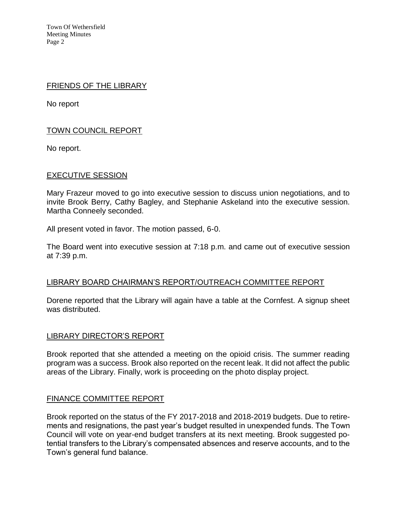Town Of Wethersfield Meeting Minutes Page 2

#### FRIENDS OF THE LIBRARY

No report

# TOWN COUNCIL REPORT

No report.

### EXECUTIVE SESSION

Mary Frazeur moved to go into executive session to discuss union negotiations, and to invite Brook Berry, Cathy Bagley, and Stephanie Askeland into the executive session. Martha Conneely seconded.

All present voted in favor. The motion passed, 6-0.

The Board went into executive session at 7:18 p.m. and came out of executive session at 7:39 p.m.

### LIBRARY BOARD CHAIRMAN'S REPORT/OUTREACH COMMITTEE REPORT

Dorene reported that the Library will again have a table at the Cornfest. A signup sheet was distributed.

### LIBRARY DIRECTOR'S REPORT

Brook reported that she attended a meeting on the opioid crisis. The summer reading program was a success. Brook also reported on the recent leak. It did not affect the public areas of the Library. Finally, work is proceeding on the photo display project.

### FINANCE COMMITTEE REPORT

Brook reported on the status of the FY 2017-2018 and 2018-2019 budgets. Due to retirements and resignations, the past year's budget resulted in unexpended funds. The Town Council will vote on year-end budget transfers at its next meeting. Brook suggested potential transfers to the Library's compensated absences and reserve accounts, and to the Town's general fund balance.